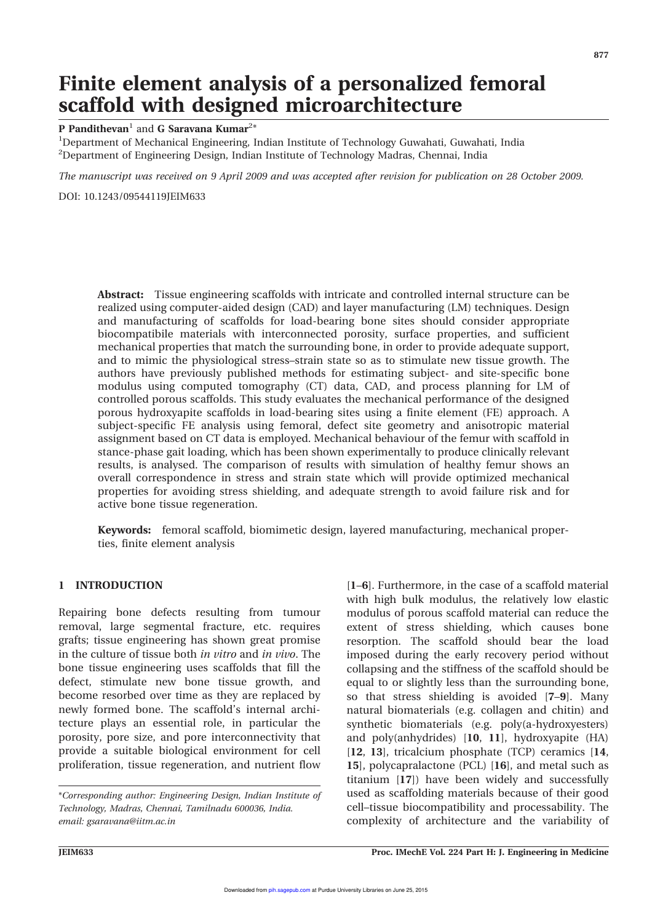# Finite element analysis of a personalized femoral scaffold with designed microarchitecture

P Pandithevan<sup>1</sup> and G Saravana Kumar<sup>2\*</sup>

<sup>1</sup>Department of Mechanical Engineering, Indian Institute of Technology Guwahati, Guwahati, India <sup>2</sup>Department of Engineering Design, Indian Institute of Technology Madras, Chennai, India

The manuscript was received on 9 April 2009 and was accepted after revision for publication on 28 October 2009.

DOI: 10.1243/09544119JEIM633

Abstract: Tissue engineering scaffolds with intricate and controlled internal structure can be realized using computer-aided design (CAD) and layer manufacturing (LM) techniques. Design and manufacturing of scaffolds for load-bearing bone sites should consider appropriate biocompatibile materials with interconnected porosity, surface properties, and sufficient mechanical properties that match the surrounding bone, in order to provide adequate support, and to mimic the physiological stress–strain state so as to stimulate new tissue growth. The authors have previously published methods for estimating subject- and site-specific bone modulus using computed tomography (CT) data, CAD, and process planning for LM of controlled porous scaffolds. This study evaluates the mechanical performance of the designed porous hydroxyapite scaffolds in load-bearing sites using a finite element (FE) approach. A subject-specific FE analysis using femoral, defect site geometry and anisotropic material assignment based on CT data is employed. Mechanical behaviour of the femur with scaffold in stance-phase gait loading, which has been shown experimentally to produce clinically relevant results, is analysed. The comparison of results with simulation of healthy femur shows an overall correspondence in stress and strain state which will provide optimized mechanical properties for avoiding stress shielding, and adequate strength to avoid failure risk and for active bone tissue regeneration.

Keywords: femoral scaffold, biomimetic design, layered manufacturing, mechanical properties, finite element analysis

#### 1 INTRODUCTION

Repairing bone defects resulting from tumour removal, large segmental fracture, etc. requires grafts; tissue engineering has shown great promise in the culture of tissue both in vitro and in vivo. The bone tissue engineering uses scaffolds that fill the defect, stimulate new bone tissue growth, and become resorbed over time as they are replaced by newly formed bone. The scaffold's internal architecture plays an essential role, in particular the porosity, pore size, and pore interconnectivity that provide a suitable biological environment for cell proliferation, tissue regeneration, and nutrient flow [1–6]. Furthermore, in the case of a scaffold material with high bulk modulus, the relatively low elastic modulus of porous scaffold material can reduce the extent of stress shielding, which causes bone resorption. The scaffold should bear the load imposed during the early recovery period without collapsing and the stiffness of the scaffold should be equal to or slightly less than the surrounding bone, so that stress shielding is avoided [7–9]. Many natural biomaterials (e.g. collagen and chitin) and synthetic biomaterials (e.g. poly(a-hydroxyesters) and poly(anhydrides) [10, 11], hydroxyapite (HA) [12, 13], tricalcium phosphate (TCP) ceramics [14, 15], polycapralactone (PCL) [16], and metal such as titanium [17]) have been widely and successfully used as scaffolding materials because of their good cell–tissue biocompatibility and processability. The complexity of architecture and the variability of

<sup>\*</sup>Corresponding author: Engineering Design, Indian Institute of Technology, Madras, Chennai, Tamilnadu 600036, India. email: gsaravana@iitm.ac.in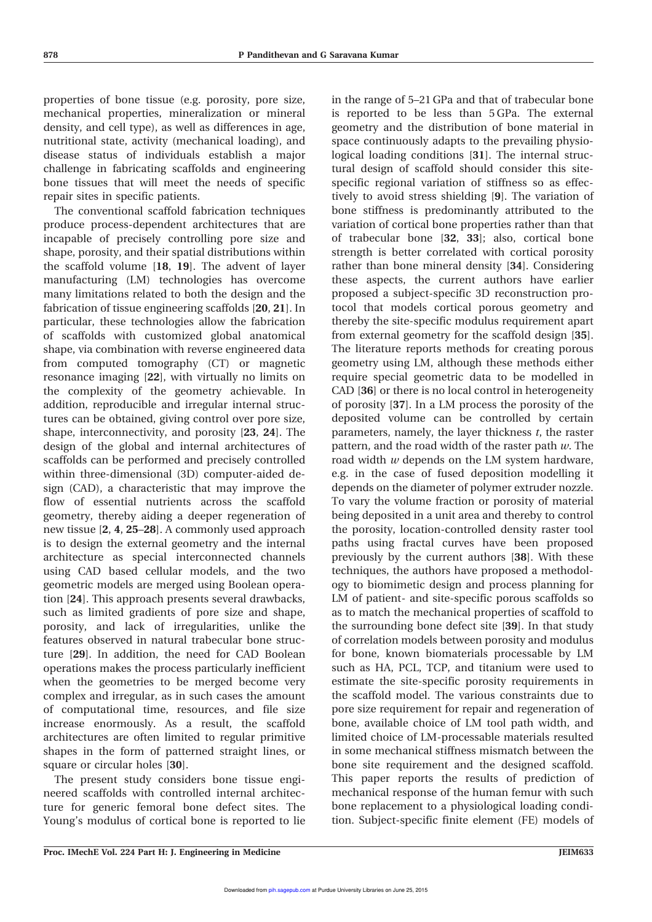properties of bone tissue (e.g. porosity, pore size, mechanical properties, mineralization or mineral density, and cell type), as well as differences in age, nutritional state, activity (mechanical loading), and disease status of individuals establish a major challenge in fabricating scaffolds and engineering bone tissues that will meet the needs of specific repair sites in specific patients.

The conventional scaffold fabrication techniques produce process-dependent architectures that are incapable of precisely controlling pore size and shape, porosity, and their spatial distributions within the scaffold volume [18, 19]. The advent of layer manufacturing (LM) technologies has overcome many limitations related to both the design and the fabrication of tissue engineering scaffolds [20, 21]. In particular, these technologies allow the fabrication of scaffolds with customized global anatomical shape, via combination with reverse engineered data from computed tomography (CT) or magnetic resonance imaging [22], with virtually no limits on the complexity of the geometry achievable. In addition, reproducible and irregular internal structures can be obtained, giving control over pore size, shape, interconnectivity, and porosity [23, 24]. The design of the global and internal architectures of scaffolds can be performed and precisely controlled within three-dimensional (3D) computer-aided design (CAD), a characteristic that may improve the flow of essential nutrients across the scaffold geometry, thereby aiding a deeper regeneration of new tissue [2, 4, 25–28]. A commonly used approach is to design the external geometry and the internal architecture as special interconnected channels using CAD based cellular models, and the two geometric models are merged using Boolean operation [24]. This approach presents several drawbacks, such as limited gradients of pore size and shape, porosity, and lack of irregularities, unlike the features observed in natural trabecular bone structure [29]. In addition, the need for CAD Boolean operations makes the process particularly inefficient when the geometries to be merged become very complex and irregular, as in such cases the amount of computational time, resources, and file size increase enormously. As a result, the scaffold architectures are often limited to regular primitive shapes in the form of patterned straight lines, or square or circular holes [30].

The present study considers bone tissue engineered scaffolds with controlled internal architecture for generic femoral bone defect sites. The Young's modulus of cortical bone is reported to lie

in the range of 5–21 GPa and that of trabecular bone is reported to be less than 5 GPa. The external geometry and the distribution of bone material in space continuously adapts to the prevailing physiological loading conditions [31]. The internal structural design of scaffold should consider this sitespecific regional variation of stiffness so as effectively to avoid stress shielding [9]. The variation of bone stiffness is predominantly attributed to the variation of cortical bone properties rather than that of trabecular bone [32, 33]; also, cortical bone strength is better correlated with cortical porosity rather than bone mineral density [34]. Considering these aspects, the current authors have earlier proposed a subject-specific 3D reconstruction protocol that models cortical porous geometry and thereby the site-specific modulus requirement apart from external geometry for the scaffold design [35]. The literature reports methods for creating porous geometry using LM, although these methods either require special geometric data to be modelled in CAD [36] or there is no local control in heterogeneity of porosity [37]. In a LM process the porosity of the deposited volume can be controlled by certain parameters, namely, the layer thickness  $t$ , the raster pattern, and the road width of the raster path  $w$ . The road width  $w$  depends on the LM system hardware, e.g. in the case of fused deposition modelling it depends on the diameter of polymer extruder nozzle. To vary the volume fraction or porosity of material being deposited in a unit area and thereby to control the porosity, location-controlled density raster tool paths using fractal curves have been proposed previously by the current authors [38]. With these techniques, the authors have proposed a methodology to biomimetic design and process planning for LM of patient- and site-specific porous scaffolds so as to match the mechanical properties of scaffold to the surrounding bone defect site [39]. In that study of correlation models between porosity and modulus for bone, known biomaterials processable by LM such as HA, PCL, TCP, and titanium were used to estimate the site-specific porosity requirements in the scaffold model. The various constraints due to pore size requirement for repair and regeneration of bone, available choice of LM tool path width, and limited choice of LM-processable materials resulted in some mechanical stiffness mismatch between the bone site requirement and the designed scaffold. This paper reports the results of prediction of mechanical response of the human femur with such bone replacement to a physiological loading condition. Subject-specific finite element (FE) models of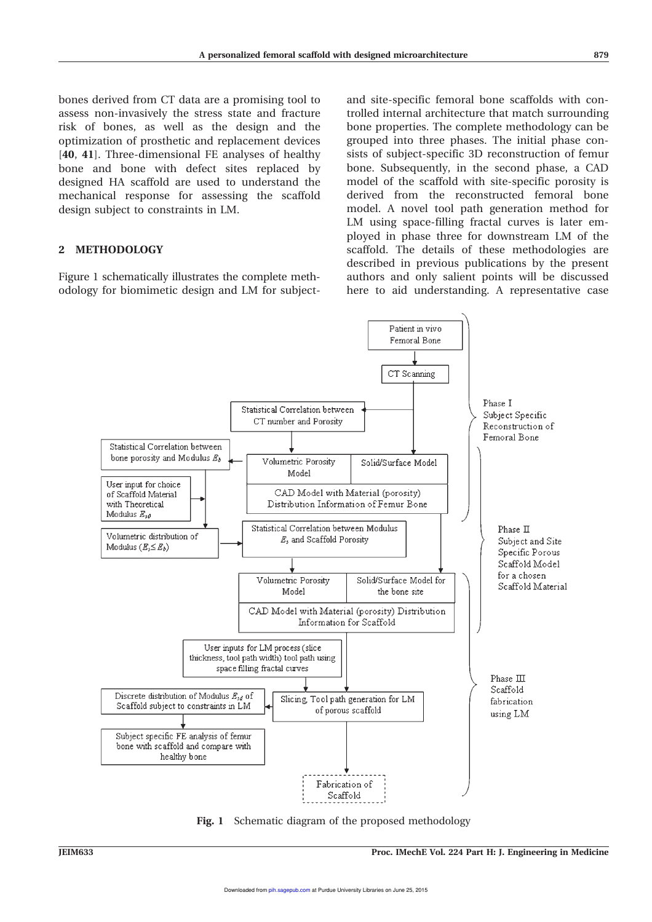bones derived from CT data are a promising tool to assess non-invasively the stress state and fracture risk of bones, as well as the design and the optimization of prosthetic and replacement devices [40, 41]. Three-dimensional FE analyses of healthy bone and bone with defect sites replaced by designed HA scaffold are used to understand the mechanical response for assessing the scaffold design subject to constraints in LM.

# 2 METHODOLOGY

Figure 1 schematically illustrates the complete methodology for biomimetic design and LM for subjectand site-specific femoral bone scaffolds with controlled internal architecture that match surrounding bone properties. The complete methodology can be grouped into three phases. The initial phase consists of subject-specific 3D reconstruction of femur bone. Subsequently, in the second phase, a CAD model of the scaffold with site-specific porosity is derived from the reconstructed femoral bone model. A novel tool path generation method for LM using space-filling fractal curves is later employed in phase three for downstream LM of the scaffold. The details of these methodologies are described in previous publications by the present authors and only salient points will be discussed here to aid understanding. A representative case



Fig. 1 Schematic diagram of the proposed methodology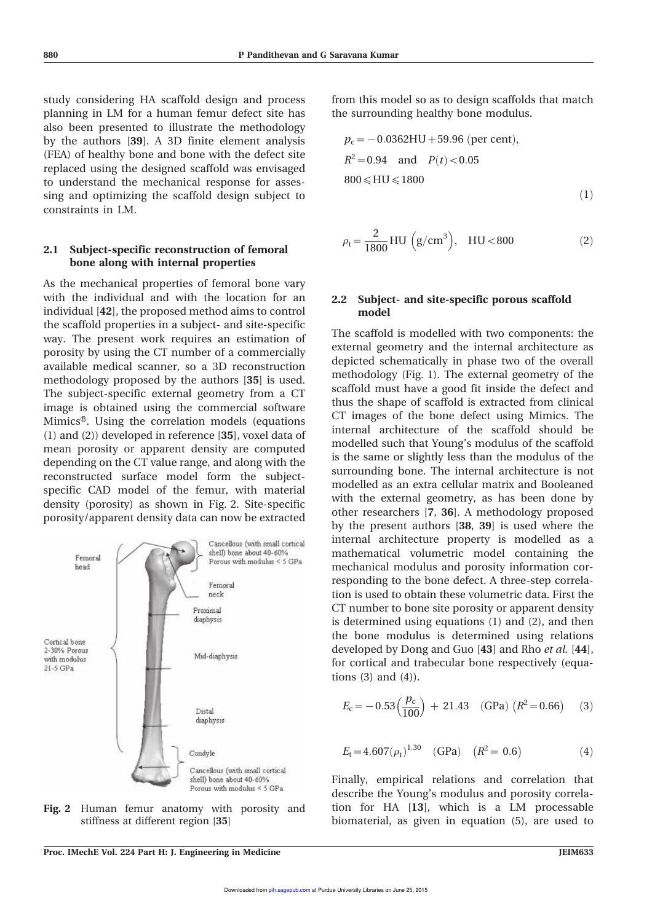study considering HA scaffold design and process planning in LM for a human femur defect site has also been presented to illustrate the methodology by the authors [39]. A 3D finite element analysis (FEA) of healthy bone and bone with the defect site replaced using the designed scaffold was envisaged to understand the mechanical response for assessing and optimizing the scaffold design subject to constraints in LM.

#### 2.1 Subject-specific reconstruction of femoral bone along with internal properties

As the mechanical properties of femoral bone vary with the individual and with the location for an individual [42], the proposed method aims to control the scaffold properties in a subject- and site-specific way. The present work requires an estimation of porosity by using the CT number of a commercially available medical scanner, so a 3D reconstruction methodology proposed by the authors [35] is used. The subject-specific external geometry from a CT image is obtained using the commercial software Mimics®. Using the correlation models (equations (1) and (2)) developed in reference [35], voxel data of mean porosity or apparent density are computed depending on the CT value range, and along with the reconstructed surface model form the subjectspecific CAD model of the femur, with material density (porosity) as shown in Fig. 2. Site-specific porosity/apparent density data can now be extracted

Cancellous (with small cortical shell) bone about 40-60% Femoral Porous with modulus < 5 GPa head Femoral neck Proximal diaphysis Cortical bone 2-30% Porous Mid-diaphysis with modulus  $21.5$  GPa Distal diaphysis Condyle Cancellous (with small cortical shell) bone about 40-60% Porous with modulus < 5 GPa

Fig. 2 Human femur anatomy with porosity and stiffness at different region [35]

from this model so as to design scaffolds that match the surrounding healthy bone modulus.

$$
p_c = -0.0362 \text{HU} + 59.96 \text{ (per cent)},
$$
  
\n
$$
R^2 = 0.94 \text{ and } P(t) < 0.05
$$
  
\n
$$
800 \le \text{HU} \le 1800 \tag{1}
$$

$$
\rho_t = \frac{2}{1800} H U \left( g / cm^3 \right), \quad H U < 800 \tag{2}
$$

#### 2.2 Subject- and site-specific porous scaffold model

The scaffold is modelled with two components: the external geometry and the internal architecture as depicted schematically in phase two of the overall methodology (Fig. 1). The external geometry of the scaffold must have a good fit inside the defect and thus the shape of scaffold is extracted from clinical CT images of the bone defect using Mimics. The internal architecture of the scaffold should be modelled such that Young's modulus of the scaffold is the same or slightly less than the modulus of the surrounding bone. The internal architecture is not modelled as an extra cellular matrix and Booleaned with the external geometry, as has been done by other researchers [7, 36]. A methodology proposed by the present authors [38, 39] is used where the internal architecture property is modelled as a mathematical volumetric model containing the mechanical modulus and porosity information corresponding to the bone defect. A three-step correlation is used to obtain these volumetric data. First the CT number to bone site porosity or apparent density is determined using equations (1) and (2), and then the bone modulus is determined using relations developed by Dong and Guo [43] and Rho et al. [44], for cortical and trabecular bone respectively (equations (3) and (4)).

$$
E_{\rm c} = -0.53 \left(\frac{p_{\rm c}}{100}\right) + 21.43 \quad \text{(GPa)} \left(R^2 = 0.66\right) \quad (3)
$$

$$
E_{t} = 4.607(\rho_{t})^{1.30} \quad \text{(GPa)} \quad (R^{2} = 0.6)
$$
 (4)

Finally, empirical relations and correlation that describe the Young's modulus and porosity correlation for HA [13], which is a LM processable biomaterial, as given in equation (5), are used to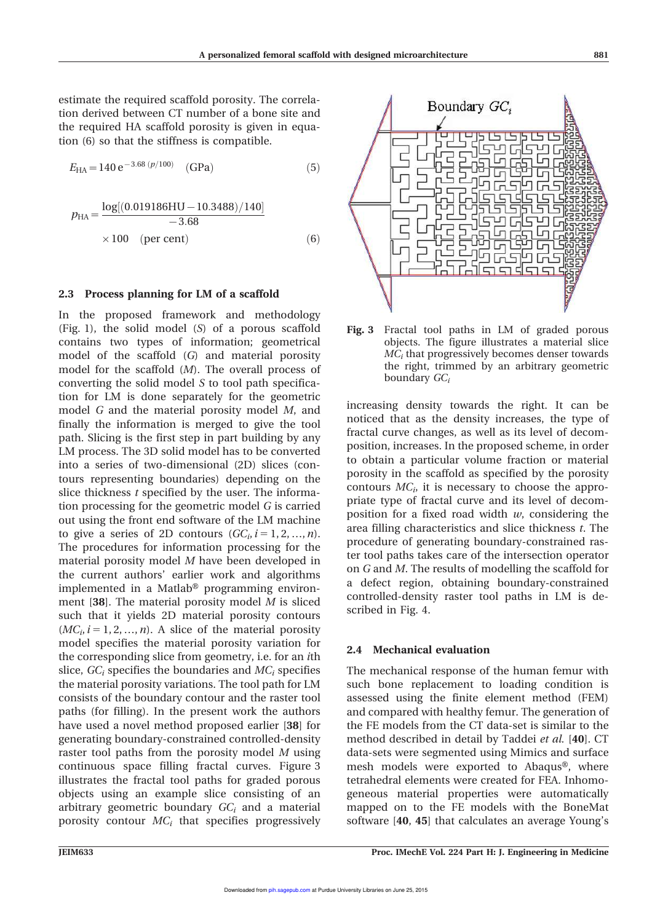estimate the required scaffold porosity. The correlation derived between CT number of a bone site and the required HA scaffold porosity is given in equation (6) so that the stiffness is compatible.

$$
E_{\text{HA}} = 140 \,\text{e}^{-3.68 \,(p/100)} \quad \text{(GPa)} \tag{5}
$$

$$
p_{\text{HA}} = \frac{\log[(0.019186\text{HU} - 10.3488)/140]}{-3.68}
$$
  
× 100 (per cent) (6)

#### 2.3 Process planning for LM of a scaffold

In the proposed framework and methodology (Fig. 1), the solid model (S) of a porous scaffold contains two types of information; geometrical model of the scaffold (G) and material porosity model for the scaffold (M). The overall process of converting the solid model S to tool path specification for LM is done separately for the geometric model G and the material porosity model M, and finally the information is merged to give the tool path. Slicing is the first step in part building by any LM process. The 3D solid model has to be converted into a series of two-dimensional (2D) slices (contours representing boundaries) depending on the slice thickness  $t$  specified by the user. The information processing for the geometric model G is carried out using the front end software of the LM machine to give a series of 2D contours  $(GC_i, i = 1, 2, ..., n)$ . The procedures for information processing for the material porosity model M have been developed in the current authors' earlier work and algorithms implemented in a Matlab® programming environment [38]. The material porosity model  $M$  is sliced such that it yields 2D material porosity contours  $(MC_i, i = 1, 2, ..., n)$ . A slice of the material porosity model specifies the material porosity variation for the corresponding slice from geometry, i.e. for an ith slice,  $GC_i$  specifies the boundaries and  $MC_i$  specifies the material porosity variations. The tool path for LM consists of the boundary contour and the raster tool paths (for filling). In the present work the authors have used a novel method proposed earlier [38] for generating boundary-constrained controlled-density raster tool paths from the porosity model M using continuous space filling fractal curves. Figure 3 illustrates the fractal tool paths for graded porous objects using an example slice consisting of an arbitrary geometric boundary  $GC_i$  and a material porosity contour  $MC<sub>i</sub>$  that specifies progressively



Fig. 3 Fractal tool paths in LM of graded porous objects. The figure illustrates a material slice  ${MC}_i$  that progressively becomes denser towards the right, trimmed by an arbitrary geometric boundary  $GC_i$ 

increasing density towards the right. It can be noticed that as the density increases, the type of fractal curve changes, as well as its level of decomposition, increases. In the proposed scheme, in order to obtain a particular volume fraction or material porosity in the scaffold as specified by the porosity contours  $MC_i$ , it is necessary to choose the appropriate type of fractal curve and its level of decomposition for a fixed road width  $w$ , considering the area filling characteristics and slice thickness t. The procedure of generating boundary-constrained raster tool paths takes care of the intersection operator on G and M. The results of modelling the scaffold for a defect region, obtaining boundary-constrained controlled-density raster tool paths in LM is described in Fig. 4.

#### 2.4 Mechanical evaluation

The mechanical response of the human femur with such bone replacement to loading condition is assessed using the finite element method (FEM) and compared with healthy femur. The generation of the FE models from the CT data-set is similar to the method described in detail by Taddei et al. [40]. CT data-sets were segmented using Mimics and surface mesh models were exported to Abaqus®, where tetrahedral elements were created for FEA. Inhomogeneous material properties were automatically mapped on to the FE models with the BoneMat software [40, 45] that calculates an average Young's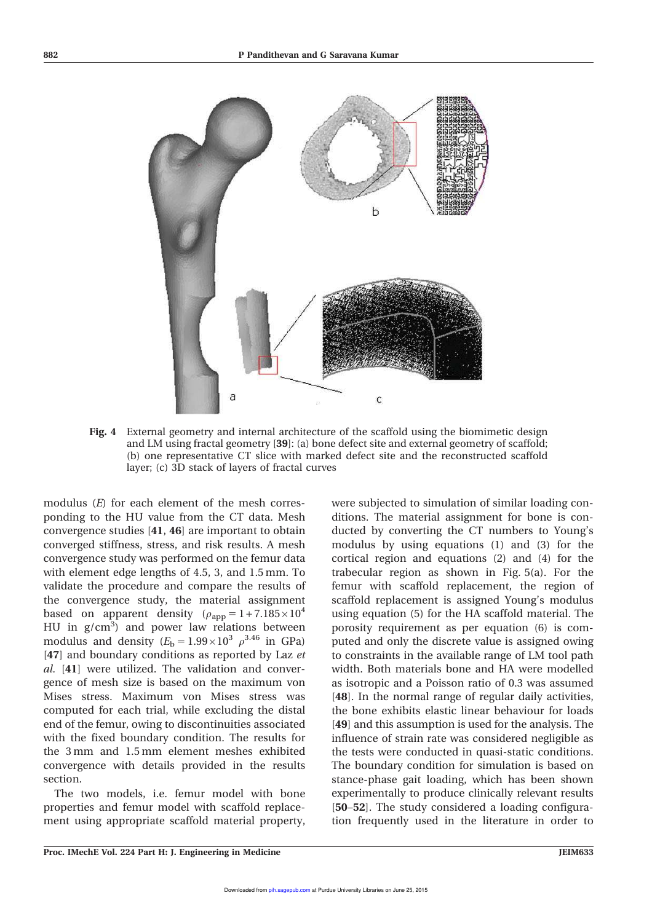

Fig. 4 External geometry and internal architecture of the scaffold using the biomimetic design and LM using fractal geometry [39]: (a) bone defect site and external geometry of scaffold; (b) one representative CT slice with marked defect site and the reconstructed scaffold layer; (c) 3D stack of layers of fractal curves

modulus (E) for each element of the mesh corresponding to the HU value from the CT data. Mesh convergence studies [41, 46] are important to obtain converged stiffness, stress, and risk results. A mesh convergence study was performed on the femur data with element edge lengths of 4.5, 3, and 1.5 mm. To validate the procedure and compare the results of the convergence study, the material assignment based on apparent density ( $\rho_{app} = 1 + 7.185 \times 10^4$ HU in  $g/cm<sup>3</sup>$  and power law relations between modulus and density  $(E_b = 1.99 \times 10^3 \rho^{3.46} \text{ in GPa})$ [47] and boundary conditions as reported by Laz et al. [41] were utilized. The validation and convergence of mesh size is based on the maximum von Mises stress. Maximum von Mises stress was computed for each trial, while excluding the distal end of the femur, owing to discontinuities associated with the fixed boundary condition. The results for the 3 mm and 1.5 mm element meshes exhibited convergence with details provided in the results section.

The two models, i.e. femur model with bone properties and femur model with scaffold replacement using appropriate scaffold material property, were subjected to simulation of similar loading conditions. The material assignment for bone is conducted by converting the CT numbers to Young's modulus by using equations (1) and (3) for the cortical region and equations (2) and (4) for the trabecular region as shown in Fig. 5(a). For the femur with scaffold replacement, the region of scaffold replacement is assigned Young's modulus using equation (5) for the HA scaffold material. The porosity requirement as per equation (6) is computed and only the discrete value is assigned owing to constraints in the available range of LM tool path width. Both materials bone and HA were modelled as isotropic and a Poisson ratio of 0.3 was assumed [48]. In the normal range of regular daily activities, the bone exhibits elastic linear behaviour for loads [49] and this assumption is used for the analysis. The influence of strain rate was considered negligible as the tests were conducted in quasi-static conditions. The boundary condition for simulation is based on stance-phase gait loading, which has been shown experimentally to produce clinically relevant results [50–52]. The study considered a loading configuration frequently used in the literature in order to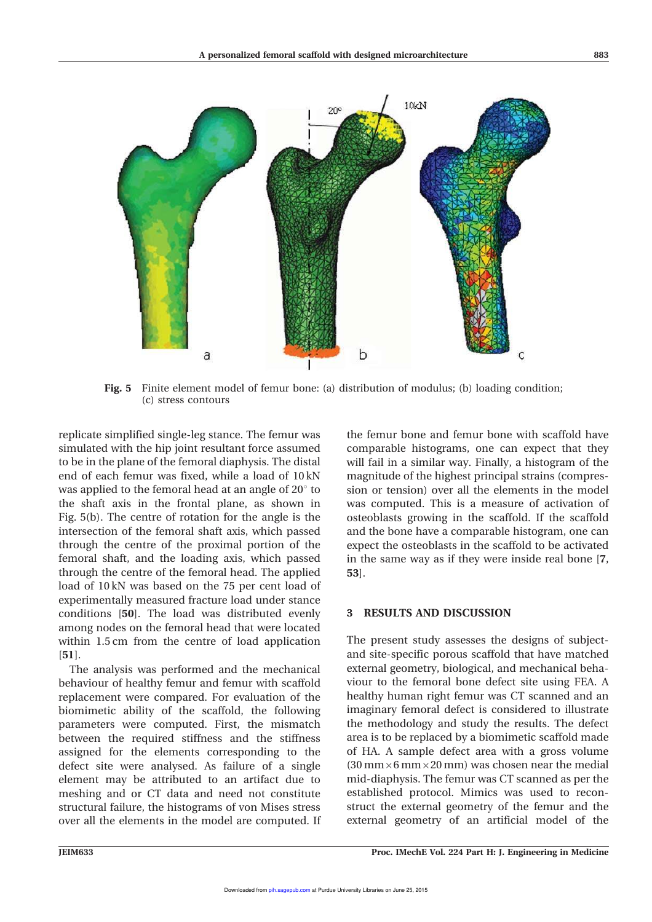

Fig. 5 Finite element model of femur bone: (a) distribution of modulus; (b) loading condition; (c) stress contours

replicate simplified single-leg stance. The femur was simulated with the hip joint resultant force assumed to be in the plane of the femoral diaphysis. The distal end of each femur was fixed, while a load of 10 kN was applied to the femoral head at an angle of  $20^{\circ}$  to the shaft axis in the frontal plane, as shown in Fig. 5(b). The centre of rotation for the angle is the intersection of the femoral shaft axis, which passed through the centre of the proximal portion of the femoral shaft, and the loading axis, which passed through the centre of the femoral head. The applied load of 10 kN was based on the 75 per cent load of experimentally measured fracture load under stance conditions [50]. The load was distributed evenly among nodes on the femoral head that were located within 1.5 cm from the centre of load application [51].

The analysis was performed and the mechanical behaviour of healthy femur and femur with scaffold replacement were compared. For evaluation of the biomimetic ability of the scaffold, the following parameters were computed. First, the mismatch between the required stiffness and the stiffness assigned for the elements corresponding to the defect site were analysed. As failure of a single element may be attributed to an artifact due to meshing and or CT data and need not constitute structural failure, the histograms of von Mises stress over all the elements in the model are computed. If the femur bone and femur bone with scaffold have comparable histograms, one can expect that they will fail in a similar way. Finally, a histogram of the magnitude of the highest principal strains (compression or tension) over all the elements in the model was computed. This is a measure of activation of osteoblasts growing in the scaffold. If the scaffold and the bone have a comparable histogram, one can expect the osteoblasts in the scaffold to be activated in the same way as if they were inside real bone [7, 53].

#### 3 RESULTS AND DISCUSSION

The present study assesses the designs of subjectand site-specific porous scaffold that have matched external geometry, biological, and mechanical behaviour to the femoral bone defect site using FEA. A healthy human right femur was CT scanned and an imaginary femoral defect is considered to illustrate the methodology and study the results. The defect area is to be replaced by a biomimetic scaffold made of HA. A sample defect area with a gross volume  $(30 \text{ mm} \times 6 \text{ mm} \times 20 \text{ mm})$  was chosen near the medial mid-diaphysis. The femur was CT scanned as per the established protocol. Mimics was used to reconstruct the external geometry of the femur and the external geometry of an artificial model of the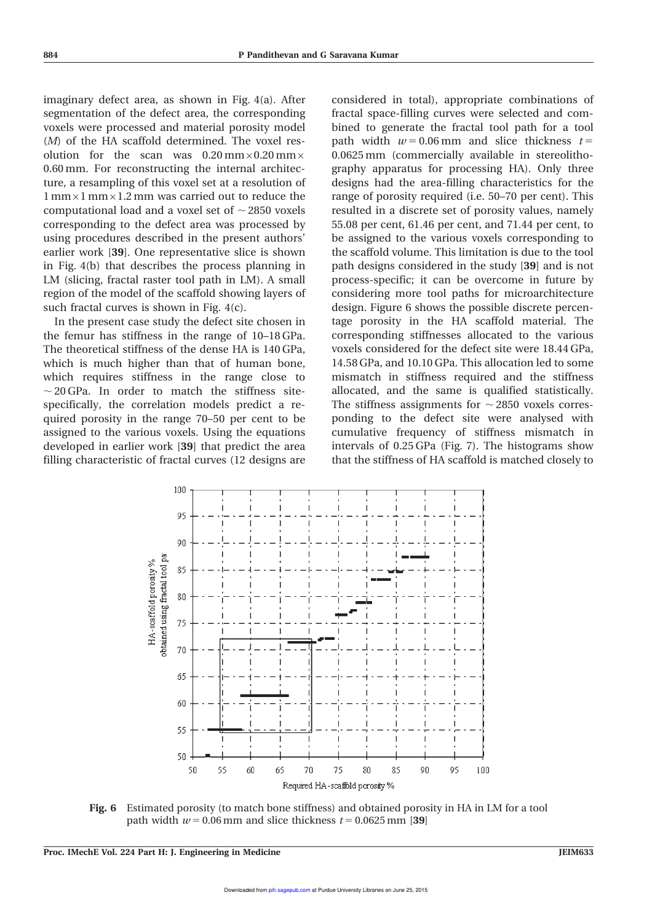imaginary defect area, as shown in Fig. 4(a). After segmentation of the defect area, the corresponding voxels were processed and material porosity model (M) of the HA scaffold determined. The voxel resolution for the scan was  $0.20 \text{ mm} \times 0.20 \text{ mm} \times$ 0.60 mm. For reconstructing the internal architecture, a resampling of this voxel set at a resolution of  $1$  mm $\times$ 1 mm $\times$ 1.2 mm was carried out to reduce the computational load and a voxel set of  $\sim$  2850 voxels corresponding to the defect area was processed by using procedures described in the present authors' earlier work [39]. One representative slice is shown in Fig. 4(b) that describes the process planning in LM (slicing, fractal raster tool path in LM). A small region of the model of the scaffold showing layers of such fractal curves is shown in Fig. 4(c).

In the present case study the defect site chosen in the femur has stiffness in the range of 10–18 GPa. The theoretical stiffness of the dense HA is 140 GPa, which is much higher than that of human bone, which requires stiffness in the range close to  $\sim$  20 GPa. In order to match the stiffness sitespecifically, the correlation models predict a required porosity in the range 70–50 per cent to be assigned to the various voxels. Using the equations developed in earlier work [39] that predict the area filling characteristic of fractal curves (12 designs are

considered in total), appropriate combinations of fractal space-filling curves were selected and combined to generate the fractal tool path for a tool path width  $w = 0.06$  mm and slice thickness  $t =$ 0.0625 mm (commercially available in stereolithography apparatus for processing HA). Only three designs had the area-filling characteristics for the range of porosity required (i.e. 50–70 per cent). This resulted in a discrete set of porosity values, namely 55.08 per cent, 61.46 per cent, and 71.44 per cent, to be assigned to the various voxels corresponding to the scaffold volume. This limitation is due to the tool path designs considered in the study [39] and is not process-specific; it can be overcome in future by considering more tool paths for microarchitecture design. Figure 6 shows the possible discrete percentage porosity in the HA scaffold material. The corresponding stiffnesses allocated to the various voxels considered for the defect site were 18.44 GPa, 14.58 GPa, and 10.10 GPa. This allocation led to some mismatch in stiffness required and the stiffness allocated, and the same is qualified statistically. The stiffness assignments for  $\sim$  2850 voxels corresponding to the defect site were analysed with cumulative frequency of stiffness mismatch in intervals of 0.25 GPa (Fig. 7). The histograms show that the stiffness of HA scaffold is matched closely to



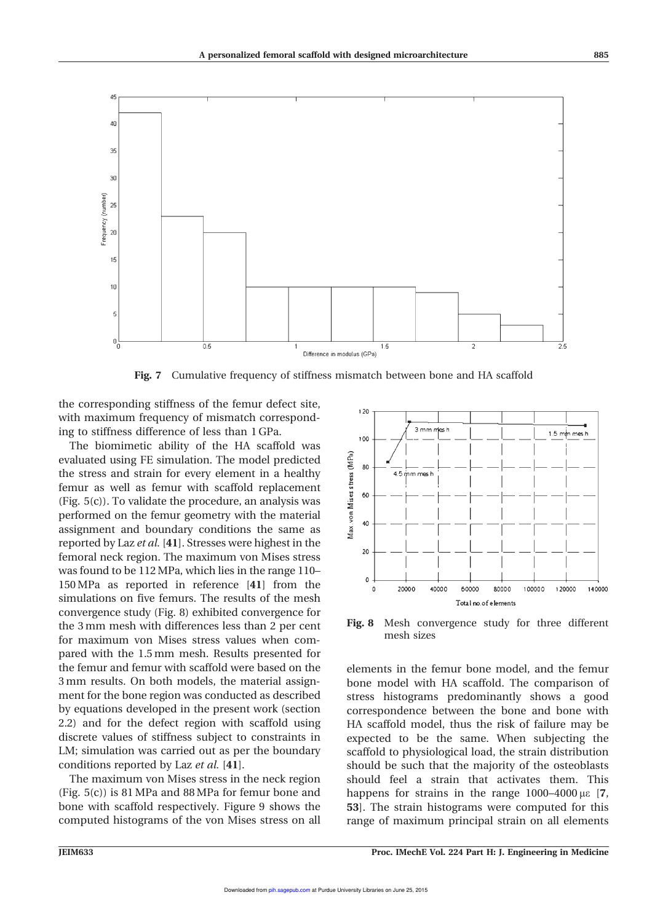

Fig. 7 Cumulative frequency of stiffness mismatch between bone and HA scaffold

the corresponding stiffness of the femur defect site, with maximum frequency of mismatch corresponding to stiffness difference of less than 1 GPa.

The biomimetic ability of the HA scaffold was evaluated using FE simulation. The model predicted the stress and strain for every element in a healthy femur as well as femur with scaffold replacement (Fig. 5(c)). To validate the procedure, an analysis was performed on the femur geometry with the material assignment and boundary conditions the same as reported by Laz et al. [41]. Stresses were highest in the femoral neck region. The maximum von Mises stress was found to be 112MPa, which lies in the range 110– 150MPa as reported in reference [41] from the simulations on five femurs. The results of the mesh convergence study (Fig. 8) exhibited convergence for the 3 mm mesh with differences less than 2 per cent for maximum von Mises stress values when compared with the 1.5 mm mesh. Results presented for the femur and femur with scaffold were based on the 3 mm results. On both models, the material assignment for the bone region was conducted as described by equations developed in the present work (section 2.2) and for the defect region with scaffold using discrete values of stiffness subject to constraints in LM; simulation was carried out as per the boundary conditions reported by Laz et al. [41].

The maximum von Mises stress in the neck region (Fig. 5(c)) is 81 MPa and 88 MPa for femur bone and bone with scaffold respectively. Figure 9 shows the computed histograms of the von Mises stress on all



Fig. 8 Mesh convergence study for three different mesh sizes

elements in the femur bone model, and the femur bone model with HA scaffold. The comparison of stress histograms predominantly shows a good correspondence between the bone and bone with HA scaffold model, thus the risk of failure may be expected to be the same. When subjecting the scaffold to physiological load, the strain distribution should be such that the majority of the osteoblasts should feel a strain that activates them. This happens for strains in the range  $1000-4000 \,\mu\text{s}$  [7, 53]. The strain histograms were computed for this range of maximum principal strain on all elements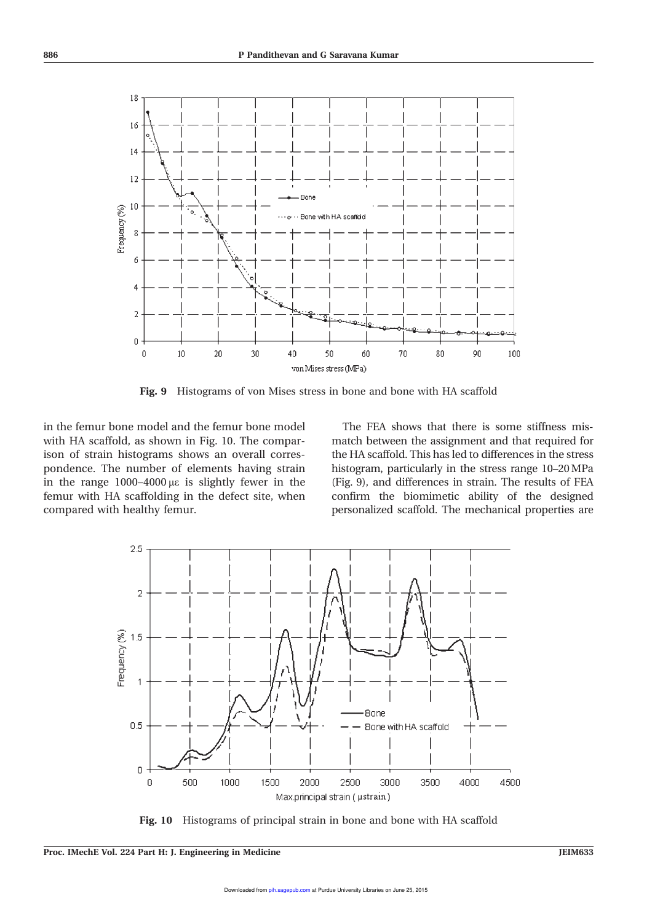

Fig. 9 Histograms of von Mises stress in bone and bone with HA scaffold

in the femur bone model and the femur bone model with HA scaffold, as shown in Fig. 10. The comparison of strain histograms shows an overall correspondence. The number of elements having strain in the range  $1000-4000 \mu\epsilon$  is slightly fewer in the femur with HA scaffolding in the defect site, when compared with healthy femur.

The FEA shows that there is some stiffness mismatch between the assignment and that required for the HA scaffold. This has led to differences in the stress histogram, particularly in the stress range 10–20MPa (Fig. 9), and differences in strain. The results of FEA confirm the biomimetic ability of the designed personalized scaffold. The mechanical properties are



Fig. 10 Histograms of principal strain in bone and bone with HA scaffold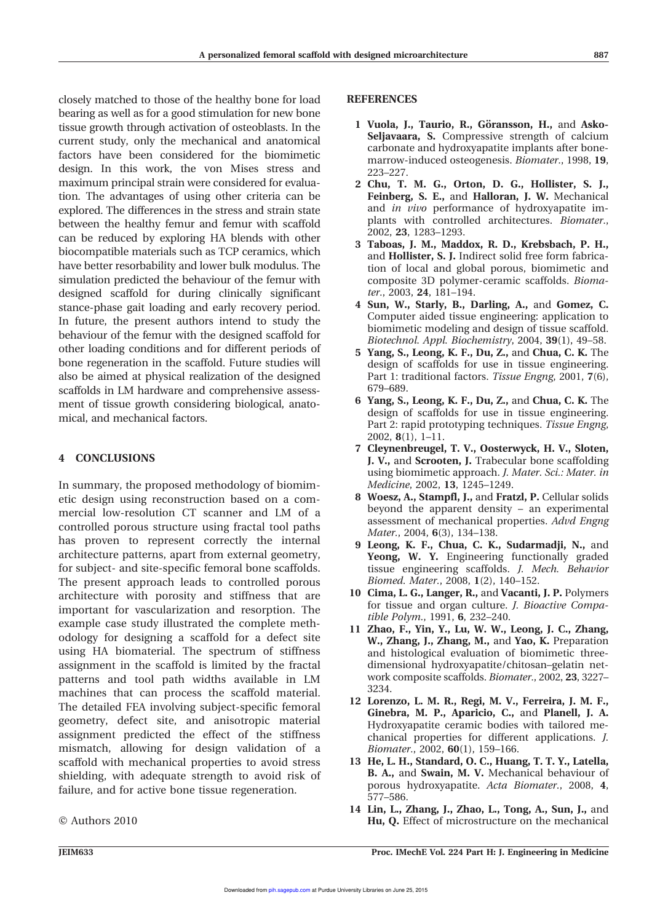closely matched to those of the healthy bone for load bearing as well as for a good stimulation for new bone tissue growth through activation of osteoblasts. In the current study, only the mechanical and anatomical factors have been considered for the biomimetic design. In this work, the von Mises stress and maximum principal strain were considered for evaluation. The advantages of using other criteria can be explored. The differences in the stress and strain state between the healthy femur and femur with scaffold can be reduced by exploring HA blends with other biocompatible materials such as TCP ceramics, which have better resorbability and lower bulk modulus. The simulation predicted the behaviour of the femur with designed scaffold for during clinically significant stance-phase gait loading and early recovery period. In future, the present authors intend to study the behaviour of the femur with the designed scaffold for other loading conditions and for different periods of bone regeneration in the scaffold. Future studies will also be aimed at physical realization of the designed scaffolds in LM hardware and comprehensive assessment of tissue growth considering biological, anatomical, and mechanical factors.

# 4 CONCLUSIONS

In summary, the proposed methodology of biomimetic design using reconstruction based on a commercial low-resolution CT scanner and LM of a controlled porous structure using fractal tool paths has proven to represent correctly the internal architecture patterns, apart from external geometry, for subject- and site-specific femoral bone scaffolds. The present approach leads to controlled porous architecture with porosity and stiffness that are important for vascularization and resorption. The example case study illustrated the complete methodology for designing a scaffold for a defect site using HA biomaterial. The spectrum of stiffness assignment in the scaffold is limited by the fractal patterns and tool path widths available in LM machines that can process the scaffold material. The detailed FEA involving subject-specific femoral geometry, defect site, and anisotropic material assignment predicted the effect of the stiffness mismatch, allowing for design validation of a scaffold with mechanical properties to avoid stress shielding, with adequate strength to avoid risk of failure, and for active bone tissue regeneration.

 $©$  Authors 2010

### **REFERENCES**

- 1 Vuola, J., Taurio, R., Göransson, H., and Asko-Seljavaara, S. Compressive strength of calcium carbonate and hydroxyapatite implants after bonemarrow-induced osteogenesis. Biomater., 1998, 19, 223–227.
- 2 Chu, T. M. G., Orton, D. G., Hollister, S. J., Feinberg, S. E., and Halloran, J. W. Mechanical and in vivo performance of hydroxyapatite implants with controlled architectures. Biomater., 2002, 23, 1283–1293.
- 3 Taboas, J. M., Maddox, R. D., Krebsbach, P. H., and Hollister, S. J. Indirect solid free form fabrication of local and global porous, biomimetic and composite 3D polymer-ceramic scaffolds. Biomater., 2003, 24, 181–194.
- 4 Sun, W., Starly, B., Darling, A., and Gomez, C. Computer aided tissue engineering: application to biomimetic modeling and design of tissue scaffold. Biotechnol. Appl. Biochemistry, 2004, 39(1), 49–58.
- 5 Yang, S., Leong, K. F., Du, Z., and Chua, C. K. The design of scaffolds for use in tissue engineering. Part 1: traditional factors. Tissue Engng, 2001, 7(6), 679–689.
- 6 Yang, S., Leong, K. F., Du, Z., and Chua, C. K. The design of scaffolds for use in tissue engineering. Part 2: rapid prototyping techniques. Tissue Engng, 2002, 8(1), 1–11.
- 7 Cleynenbreugel, T. V., Oosterwyck, H. V., Sloten, J. V., and Scrooten, J. Trabecular bone scaffolding using biomimetic approach. J. Mater. Sci.: Mater. in Medicine, 2002, 13, 1245–1249.
- 8 Woesz, A., Stampfl, J., and Fratzl, P. Cellular solids beyond the apparent density – an experimental assessment of mechanical properties. Advd Engng Mater., 2004, 6(3), 134–138.
- 9 Leong, K. F., Chua, C. K., Sudarmadji, N., and Yeong, W. Y. Engineering functionally graded tissue engineering scaffolds. J. Mech. Behavior Biomed. Mater., 2008, 1(2), 140–152.
- 10 Cima, L. G., Langer, R., and Vacanti, J. P. Polymers for tissue and organ culture. J. Bioactive Compatible Polym., 1991, 6, 232–240.
- 11 Zhao, F., Yin, Y., Lu, W. W., Leong, J. C., Zhang, W., Zhang, J., Zhang, M., and Yao, K. Preparation and histological evaluation of biomimetic threedimensional hydroxyapatite/chitosan–gelatin network composite scaffolds. Biomater., 2002, 23, 3227– 3234.
- 12 Lorenzo, L. M. R., Regi, M. V., Ferreira, J. M. F., Ginebra, M. P., Aparicio, C., and Planell, J. A. Hydroxyapatite ceramic bodies with tailored mechanical properties for different applications. J. Biomater., 2002, 60(1), 159–166.
- 13 He, L. H., Standard, O. C., Huang, T. T. Y., Latella, B. A., and Swain, M. V. Mechanical behaviour of porous hydroxyapatite. Acta Biomater., 2008, 4, 577–586.
- 14 Lin, L., Zhang, J., Zhao, L., Tong, A., Sun, J., and Hu, Q. Effect of microstructure on the mechanical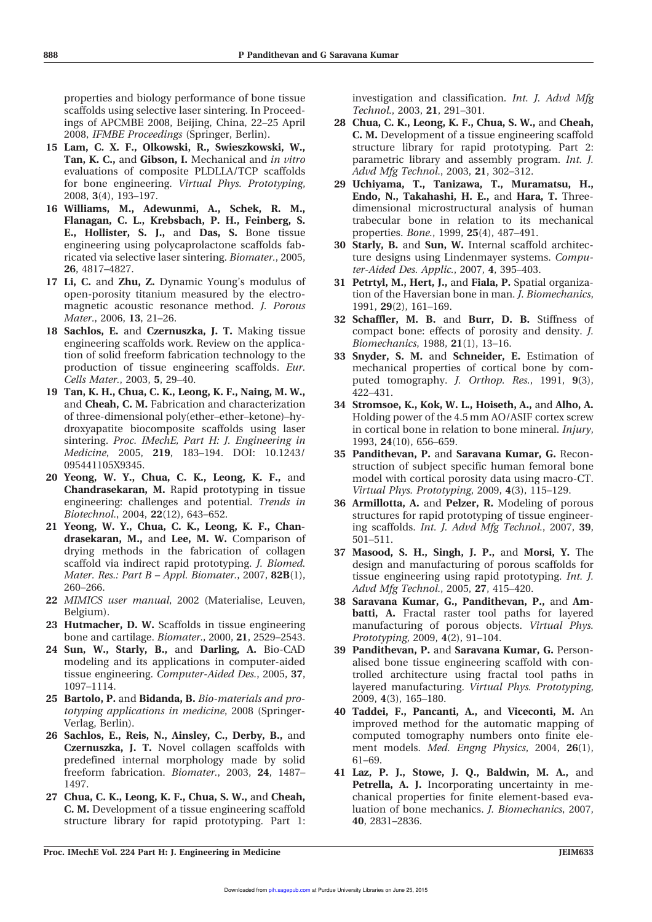properties and biology performance of bone tissue scaffolds using selective laser sintering. In Proceedings of APCMBE 2008, Beijing, China, 22–25 April 2008, IFMBE Proceedings (Springer, Berlin).

- 15 Lam, C. X. F., Olkowski, R., Swieszkowski, W., Tan, K. C., and Gibson, I. Mechanical and in vitro evaluations of composite PLDLLA/TCP scaffolds for bone engineering. Virtual Phys. Prototyping, 2008, 3(4), 193–197.
- 16 Williams, M., Adewunmi, A., Schek, R. M., Flanagan, C. L., Krebsbach, P. H., Feinberg, S. E., Hollister, S. J., and Das, S. Bone tissue engineering using polycaprolactone scaffolds fabricated via selective laser sintering. Biomater., 2005, 26, 4817–4827.
- 17 Li, C. and Zhu, Z. Dynamic Young's modulus of open-porosity titanium measured by the electromagnetic acoustic resonance method. J. Porous Mater., 2006, 13, 21–26.
- 18 Sachlos, E. and Czernuszka, J. T. Making tissue engineering scaffolds work. Review on the application of solid freeform fabrication technology to the production of tissue engineering scaffolds. Eur. Cells Mater., 2003, 5, 29–40.
- 19 Tan, K. H., Chua, C. K., Leong, K. F., Naing, M. W., and Cheah, C. M. Fabrication and characterization of three-dimensional poly(ether–ether–ketone)–hydroxyapatite biocomposite scaffolds using laser sintering. Proc. IMechE, Part H: J. Engineering in Medicine, 2005, 219, 183–194. DOI: 10.1243/ 095441105X9345.
- 20 Yeong, W. Y., Chua, C. K., Leong, K. F., and Chandrasekaran, M. Rapid prototyping in tissue engineering: challenges and potential. Trends in Biotechnol., 2004, 22(12), 643–652.
- 21 Yeong, W. Y., Chua, C. K., Leong, K. F., Chandrasekaran, M., and Lee, M. W. Comparison of drying methods in the fabrication of collagen scaffold via indirect rapid prototyping. J. Biomed. Mater. Res.: Part  $B$  – Appl. Biomater., 2007, 82B(1), 260–266.
- 22 MIMICS user manual, 2002 (Materialise, Leuven, Belgium).
- 23 Hutmacher, D. W. Scaffolds in tissue engineering bone and cartilage. Biomater., 2000, 21, 2529–2543.
- 24 Sun, W., Starly, B., and Darling, A. Bio-CAD modeling and its applications in computer-aided tissue engineering. Computer-Aided Des., 2005, 37, 1097–1114.
- 25 Bartolo, P. and Bidanda, B. Bio-materials and prototyping applications in medicine, 2008 (Springer-Verlag, Berlin).
- 26 Sachlos, E., Reis, N., Ainsley, C., Derby, B., and Czernuszka, J. T. Novel collagen scaffolds with predefined internal morphology made by solid freeform fabrication. Biomater., 2003, 24, 1487– 1497.
- 27 Chua, C. K., Leong, K. F., Chua, S. W., and Cheah, C. M. Development of a tissue engineering scaffold structure library for rapid prototyping. Part 1:

investigation and classification. Int. J. Advd Mfg Technol., 2003, 21, 291–301.

- 28 Chua, C. K., Leong, K. F., Chua, S. W., and Cheah, C. M. Development of a tissue engineering scaffold structure library for rapid prototyping. Part 2: parametric library and assembly program. Int. J. Advd Mfg Technol., 2003, 21, 302–312.
- 29 Uchiyama, T., Tanizawa, T., Muramatsu, H., Endo, N., Takahashi, H. E., and Hara, T. Threedimensional microstructural analysis of human trabecular bone in relation to its mechanical properties. Bone., 1999, 25(4), 487–491.
- 30 Starly, B. and Sun, W. Internal scaffold architecture designs using Lindenmayer systems. Computer-Aided Des. Applic., 2007, 4, 395–403.
- 31 Petrtyl, M., Hert, J., and Fiala, P. Spatial organization of the Haversian bone in man. J. Biomechanics, 1991, 29(2), 161–169.
- 32 Schaffler, M. B. and Burr, D. B. Stiffness of compact bone: effects of porosity and density. J. Biomechanics, 1988, 21(1), 13–16.
- 33 Snyder, S. M. and Schneider, E. Estimation of mechanical properties of cortical bone by computed tomography. J. Orthop. Res., 1991, 9(3), 422–431.
- 34 Stromsoe, K., Kok, W. L., Hoiseth, A., and Alho, A. Holding power of the 4.5 mm AO/ASIF cortex screw in cortical bone in relation to bone mineral. Injury, 1993, 24(10), 656–659.
- 35 Pandithevan, P. and Saravana Kumar, G. Reconstruction of subject specific human femoral bone model with cortical porosity data using macro-CT. Virtual Phys. Prototyping, 2009, 4(3), 115–129.
- 36 Armillotta, A. and Pelzer, R. Modeling of porous structures for rapid prototyping of tissue engineering scaffolds. Int. J. Advd Mfg Technol., 2007, 39, 501–511.
- 37 Masood, S. H., Singh, J. P., and Morsi, Y. The design and manufacturing of porous scaffolds for tissue engineering using rapid prototyping. Int. J. Advd Mfg Technol., 2005, 27, 415–420.
- 38 Saravana Kumar, G., Pandithevan, P., and Ambatti, A. Fractal raster tool paths for layered manufacturing of porous objects. Virtual Phys. Prototyping, 2009, 4(2), 91–104.
- 39 Pandithevan, P. and Saravana Kumar, G. Personalised bone tissue engineering scaffold with controlled architecture using fractal tool paths in layered manufacturing. Virtual Phys. Prototyping, 2009, 4(3), 165–180.
- 40 Taddei, F., Pancanti, A., and Viceconti, M. An improved method for the automatic mapping of computed tomography numbers onto finite element models. Med. Engng Physics, 2004, 26(1), 61–69.
- 41 Laz, P. J., Stowe, J. Q., Baldwin, M. A., and Petrella, A. J. Incorporating uncertainty in mechanical properties for finite element-based evaluation of bone mechanics. J. Biomechanics, 2007, 40, 2831–2836.